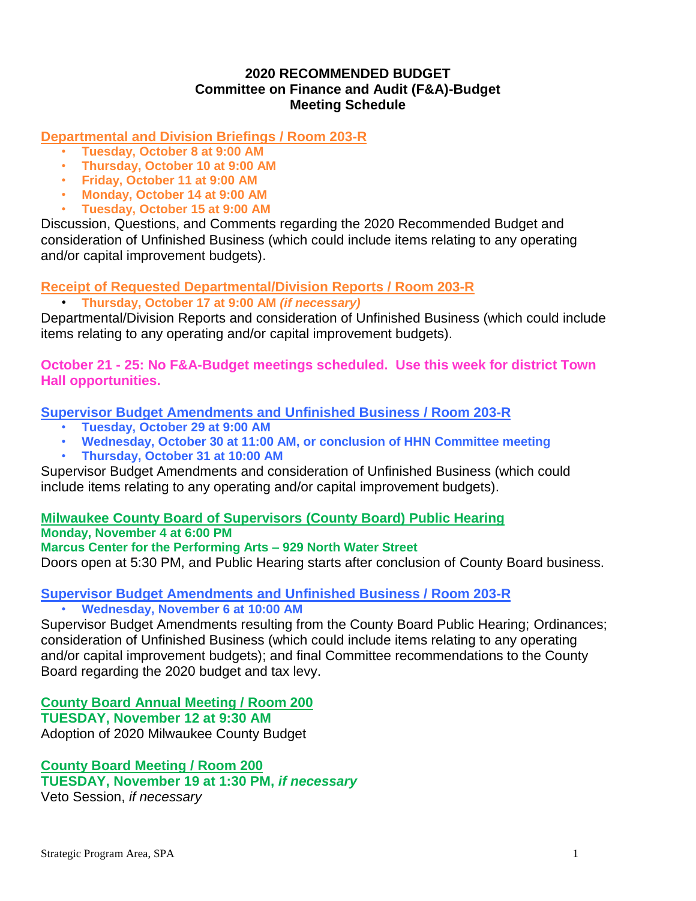# **2020 RECOMMENDED BUDGET Committee on Finance and Audit (F&A)-Budget Meeting Schedule**

**Departmental and Division Briefings / Room 203-R**

- **Tuesday, October 8 at 9:00 AM**
- **Thursday, October 10 at 9:00 AM**
- **Friday, October 11 at 9:00 AM**
- **Monday, October 14 at 9:00 AM**
- **Tuesday, October 15 at 9:00 AM**

Discussion, Questions, and Comments regarding the 2020 Recommended Budget and consideration of Unfinished Business (which could include items relating to any operating and/or capital improvement budgets).

**Receipt of Requested Departmental/Division Reports / Room 203-R**

• **Thursday, October 17 at 9:00 AM** *(if necessary)*

Departmental/Division Reports and consideration of Unfinished Business (which could include items relating to any operating and/or capital improvement budgets).

**October 21 - 25: No F&A-Budget meetings scheduled. Use this week for district Town Hall opportunities.**

**Supervisor Budget Amendments and Unfinished Business / Room 203-R**

- **Tuesday, October 29 at 9:00 AM**
- **Wednesday, October 30 at 11:00 AM, or conclusion of HHN Committee meeting**
- **Thursday, October 31 at 10:00 AM**

Supervisor Budget Amendments and consideration of Unfinished Business (which could include items relating to any operating and/or capital improvement budgets).

**Milwaukee County Board of Supervisors (County Board) Public Hearing Monday, November 4 at 6:00 PM Marcus Center for the Performing Arts – 929 North Water Street** Doors open at 5:30 PM, and Public Hearing starts after conclusion of County Board business.

**Supervisor Budget Amendments and Unfinished Business / Room 203-R** • **Wednesday, November 6 at 10:00 AM**

Supervisor Budget Amendments resulting from the County Board Public Hearing; Ordinances; consideration of Unfinished Business (which could include items relating to any operating and/or capital improvement budgets); and final Committee recommendations to the County Board regarding the 2020 budget and tax levy.

**County Board Annual Meeting / Room 200**

**TUESDAY, November 12 at 9:30 AM** Adoption of 2020 Milwaukee County Budget

**County Board Meeting / Room 200 TUESDAY, November 19 at 1:30 PM,** *if necessary* Veto Session, *if necessary*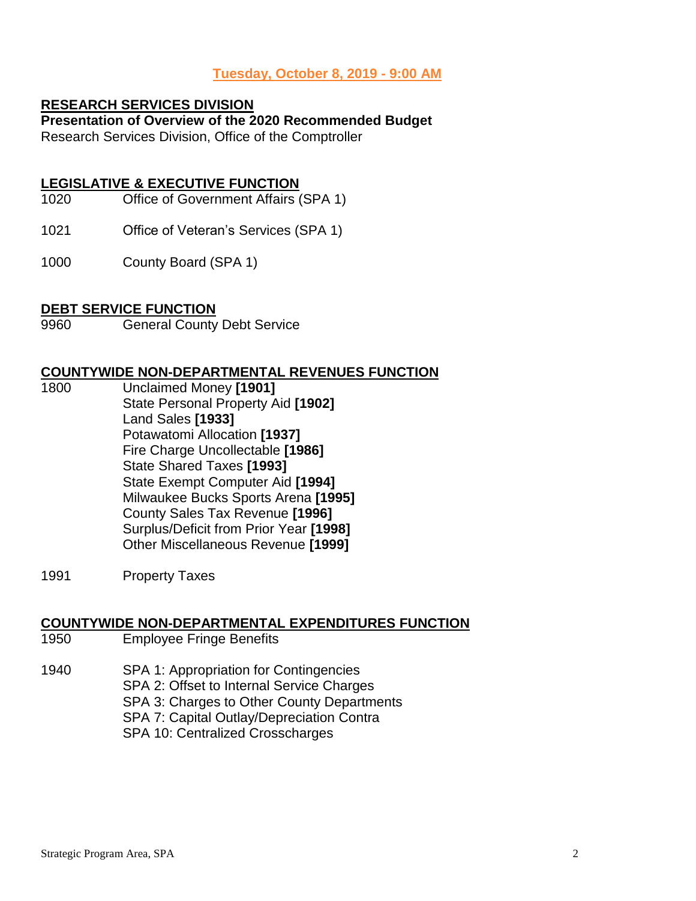#### **Tuesday, October 8, 2019 - 9:00 AM**

#### **RESEARCH SERVICES DIVISION**

# **Presentation of Overview of the 2020 Recommended Budget**

Research Services Division, Office of the Comptroller

## **LEGISLATIVE & EXECUTIVE FUNCTION**

- 1020 Office of Government Affairs (SPA 1)
- 1021 Office of Veteran's Services (SPA 1)
- 1000 County Board (SPA 1)

#### **DEBT SERVICE FUNCTION**

9960 General County Debt Service

#### **COUNTYWIDE NON-DEPARTMENTAL REVENUES FUNCTION**

- 1800 Unclaimed Money **[1901]** State Personal Property Aid **[1902]** Land Sales **[1933]** Potawatomi Allocation **[1937]** Fire Charge Uncollectable **[1986]** State Shared Taxes **[1993]** State Exempt Computer Aid **[1994]** Milwaukee Bucks Sports Arena **[1995]** County Sales Tax Revenue **[1996]** Surplus/Deficit from Prior Year **[1998]** Other Miscellaneous Revenue **[1999]**
- 1991 Property Taxes

#### **COUNTYWIDE NON-DEPARTMENTAL EXPENDITURES FUNCTION**

- 1950 Employee Fringe Benefits
- 1940 SPA 1: Appropriation for Contingencies SPA 2: Offset to Internal Service Charges SPA 3: Charges to Other County Departments SPA 7: Capital Outlay/Depreciation Contra
	- SPA 10: Centralized Crosscharges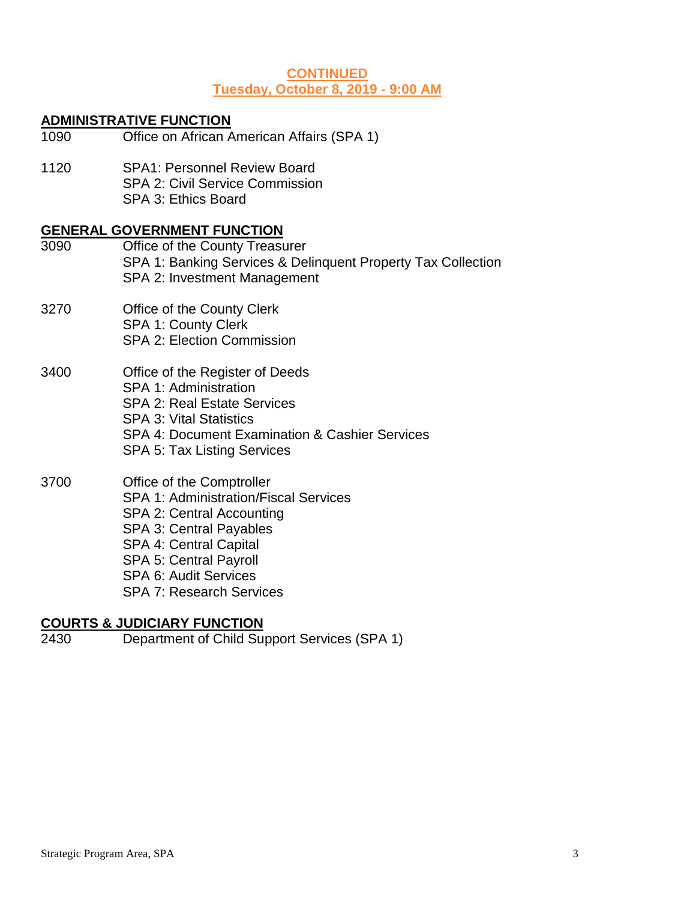## **CONTINUED Tuesday, October 8, 2019 - 9:00 AM**

## **ADMINISTRATIVE FUNCTION**

- 1090 Office on African American Affairs (SPA 1)
- 1120 SPA1: Personnel Review Board SPA 2: Civil Service Commission SPA 3: Ethics Board

#### **GENERAL GOVERNMENT FUNCTION**

- 3090 Office of the County Treasurer SPA 1: Banking Services & Delinquent Property Tax Collection SPA 2: Investment Management 3270 Office of the County Clerk SPA 1: County Clerk SPA 2: Election Commission 3400 Office of the Register of Deeds SPA 1: Administration SPA 2: Real Estate Services SPA 3: Vital Statistics SPA 4: Document Examination & Cashier Services SPA 5: Tax Listing Services 3700 Office of the Comptroller SPA 1: Administration/Fiscal Services SPA 2: Central Accounting SPA 3: Central Payables SPA 4: Central Capital
	- SPA 5: Central Payroll SPA 6: Audit Services
	- SPA 7: Research Services

# **COURTS & JUDICIARY FUNCTION**

2430 Department of Child Support Services (SPA 1)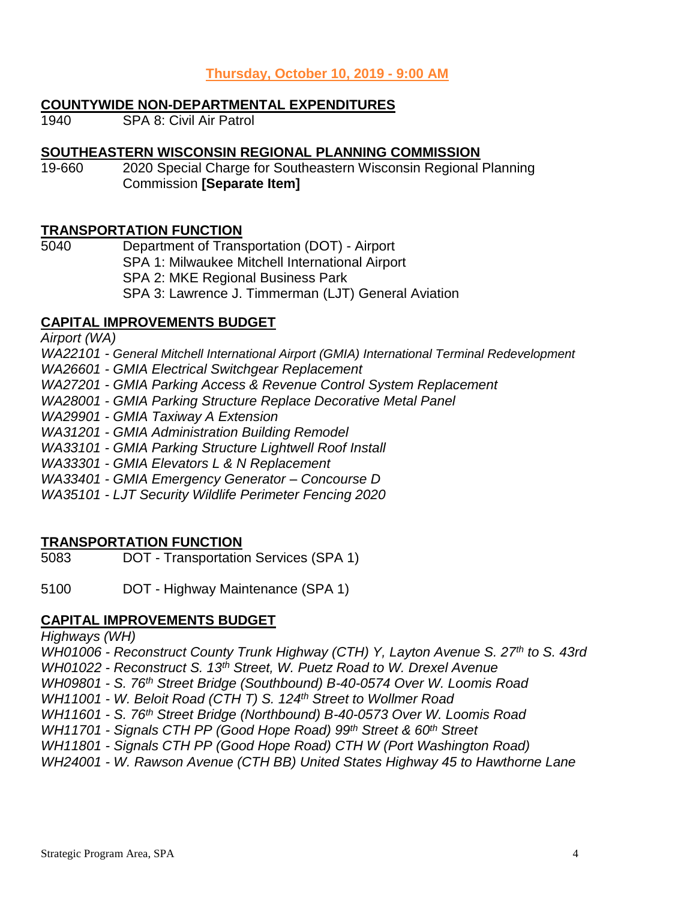# **Thursday, October 10, 2019 - 9:00 AM**

### **COUNTYWIDE NON-DEPARTMENTAL EXPENDITURES**

1940 SPA 8: Civil Air Patrol

# **SOUTHEASTERN WISCONSIN REGIONAL PLANNING COMMISSION**

19-660 2020 Special Charge for Southeastern Wisconsin Regional Planning Commission **[Separate Item]**

# **TRANSPORTATION FUNCTION**

5040 Department of Transportation (DOT) - Airport SPA 1: Milwaukee Mitchell International Airport SPA 2: MKE Regional Business Park

SPA 3: Lawrence J. Timmerman (LJT) General Aviation

# **CAPITAL IMPROVEMENTS BUDGET**

*Airport (WA)*

*WA22101 - General Mitchell International Airport (GMIA) International Terminal Redevelopment*

*WA26601 - GMIA Electrical Switchgear Replacement*

*WA27201 - GMIA Parking Access & Revenue Control System Replacement*

*WA28001 - GMIA Parking Structure Replace Decorative Metal Panel*

*WA29901 - GMIA Taxiway A Extension*

*WA31201 - GMIA Administration Building Remodel*

*WA33101 - GMIA Parking Structure Lightwell Roof Install*

*WA33301 - GMIA Elevators L & N Replacement*

*WA33401 - GMIA Emergency Generator – Concourse D*

*WA35101 - LJT Security Wildlife Perimeter Fencing 2020*

# **TRANSPORTATION FUNCTION**

5083 DOT - Transportation Services (SPA 1)

5100 DOT - Highway Maintenance (SPA 1)

# **CAPITAL IMPROVEMENTS BUDGET**

*Highways (WH)*

*WH01006 - Reconstruct County Trunk Highway (CTH) Y, Layton Avenue S. 27th to S. 43rd*

*WH01022 - Reconstruct S. 13th Street, W. Puetz Road to W. Drexel Avenue*

*WH09801 - S. 76th Street Bridge (Southbound) B-40-0574 Over W. Loomis Road*

*WH11001 - W. Beloit Road (CTH T) S. 124th Street to Wollmer Road*

*WH11601 - S. 76th Street Bridge (Northbound) B-40-0573 Over W. Loomis Road*

*WH11701 - Signals CTH PP (Good Hope Road) 99th Street & 60th Street*

*WH11801 - Signals CTH PP (Good Hope Road) CTH W (Port Washington Road)*

*WH24001 - W. Rawson Avenue (CTH BB) United States Highway 45 to Hawthorne Lane*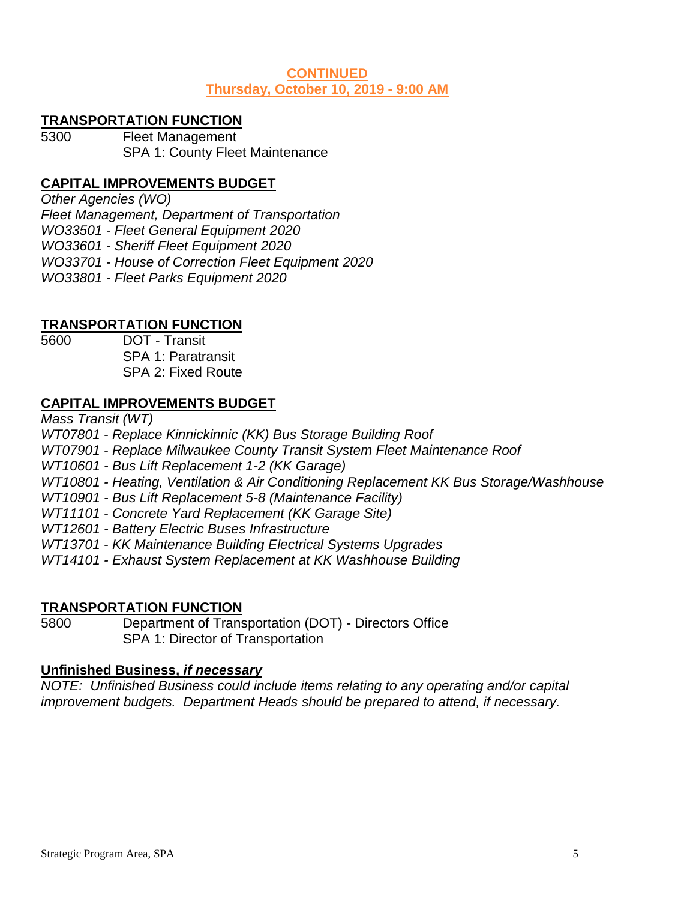## **CONTINUED Thursday, October 10, 2019 - 9:00 AM**

## **TRANSPORTATION FUNCTION**

5300 Fleet Management SPA 1: County Fleet Maintenance

# **CAPITAL IMPROVEMENTS BUDGET**

*Other Agencies (WO)*

*Fleet Management, Department of Transportation*

*WO33501 - Fleet General Equipment 2020*

*WO33601 - Sheriff Fleet Equipment 2020*

*WO33701 - House of Correction Fleet Equipment 2020*

*WO33801 - Fleet Parks Equipment 2020*

# **TRANSPORTATION FUNCTION**

5600 DOT - Transit SPA 1: Paratransit SPA 2: Fixed Route

# **CAPITAL IMPROVEMENTS BUDGET**

*Mass Transit (WT)*

*WT07801 - Replace Kinnickinnic (KK) Bus Storage Building Roof*

*WT07901 - Replace Milwaukee County Transit System Fleet Maintenance Roof*

*WT10601 - Bus Lift Replacement 1-2 (KK Garage)*

*WT10801 - Heating, Ventilation & Air Conditioning Replacement KK Bus Storage/Washhouse*

*WT10901 - Bus Lift Replacement 5-8 (Maintenance Facility)*

*WT11101 - Concrete Yard Replacement (KK Garage Site)*

*WT12601 - Battery Electric Buses Infrastructure*

*WT13701 - KK Maintenance Building Electrical Systems Upgrades*

*WT14101 - Exhaust System Replacement at KK Washhouse Building*

#### **TRANSPORTATION FUNCTION**

5800 Department of Transportation (DOT) - Directors Office SPA 1: Director of Transportation

# **Unfinished Business,** *if necessary*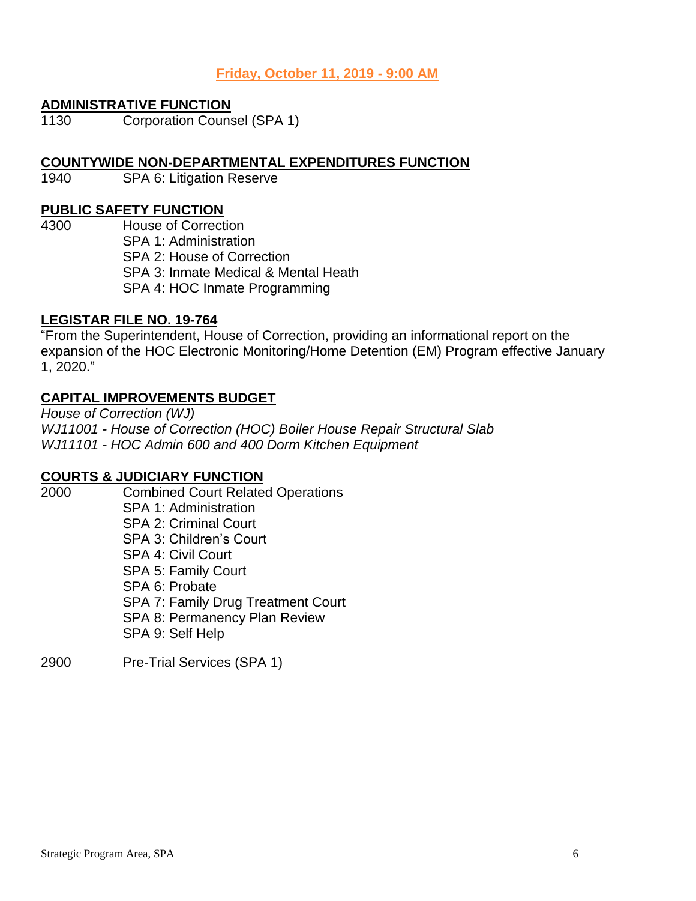# **Friday, October 11, 2019 - 9:00 AM**

#### **ADMINISTRATIVE FUNCTION**

1130 Corporation Counsel (SPA 1)

#### **COUNTYWIDE NON-DEPARTMENTAL EXPENDITURES FUNCTION**

1940 SPA 6: Litigation Reserve

# **PUBLIC SAFETY FUNCTION**

4300 House of Correction SPA 1: Administration SPA 2: House of Correction SPA 3: Inmate Medical & Mental Heath SPA 4: HOC Inmate Programming

## **LEGISTAR FILE NO. 19-764**

"From the Superintendent, House of Correction, providing an informational report on the expansion of the HOC Electronic Monitoring/Home Detention (EM) Program effective January 1, 2020."

# **CAPITAL IMPROVEMENTS BUDGET**

*House of Correction (WJ) WJ11001 - House of Correction (HOC) Boiler House Repair Structural Slab WJ11101 - HOC Admin 600 and 400 Dorm Kitchen Equipment*

#### **COURTS & JUDICIARY FUNCTION**

- 2000 Combined Court Related Operations SPA 1: Administration SPA 2: Criminal Court SPA 3: Children's Court SPA 4: Civil Court SPA 5: Family Court SPA 6: Probate SPA 7: Family Drug Treatment Court SPA 8: Permanency Plan Review SPA 9: Self Help
- 2900 Pre-Trial Services (SPA 1)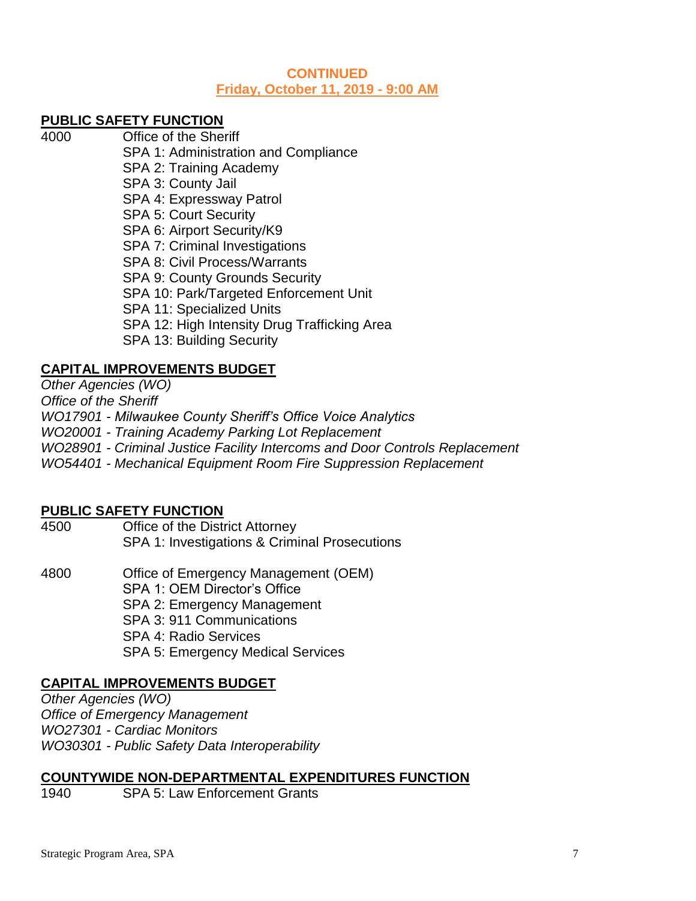#### **CONTINUED Friday, October 11, 2019 - 9:00 AM**

# **PUBLIC SAFETY FUNCTION**

4000 Office of the Sheriff SPA 1: Administration and Compliance SPA 2: Training Academy SPA 3: County Jail SPA 4: Expressway Patrol SPA 5: Court Security SPA 6: Airport Security/K9 SPA 7: Criminal Investigations SPA 8: Civil Process/Warrants SPA 9: County Grounds Security SPA 10: Park/Targeted Enforcement Unit SPA 11: Specialized Units SPA 12: High Intensity Drug Trafficking Area SPA 13: Building Security

# **CAPITAL IMPROVEMENTS BUDGET**

*Other Agencies (WO) Office of the Sheriff WO17901 - Milwaukee County Sheriff's Office Voice Analytics WO20001 - Training Academy Parking Lot Replacement WO28901 - Criminal Justice Facility Intercoms and Door Controls Replacement WO54401 - Mechanical Equipment Room Fire Suppression Replacement*

#### **PUBLIC SAFETY FUNCTION**

- 4500 Office of the District Attorney SPA 1: Investigations & Criminal Prosecutions
- 4800 Office of Emergency Management (OEM) SPA 1: OEM Director's Office SPA 2: Emergency Management SPA 3: 911 Communications SPA 4: Radio Services SPA 5: Emergency Medical Services

# **CAPITAL IMPROVEMENTS BUDGET**

*Other Agencies (WO) Office of Emergency Management WO27301 - Cardiac Monitors WO30301 - Public Safety Data Interoperability*

### **COUNTYWIDE NON-DEPARTMENTAL EXPENDITURES FUNCTION**

1940 SPA 5: Law Enforcement Grants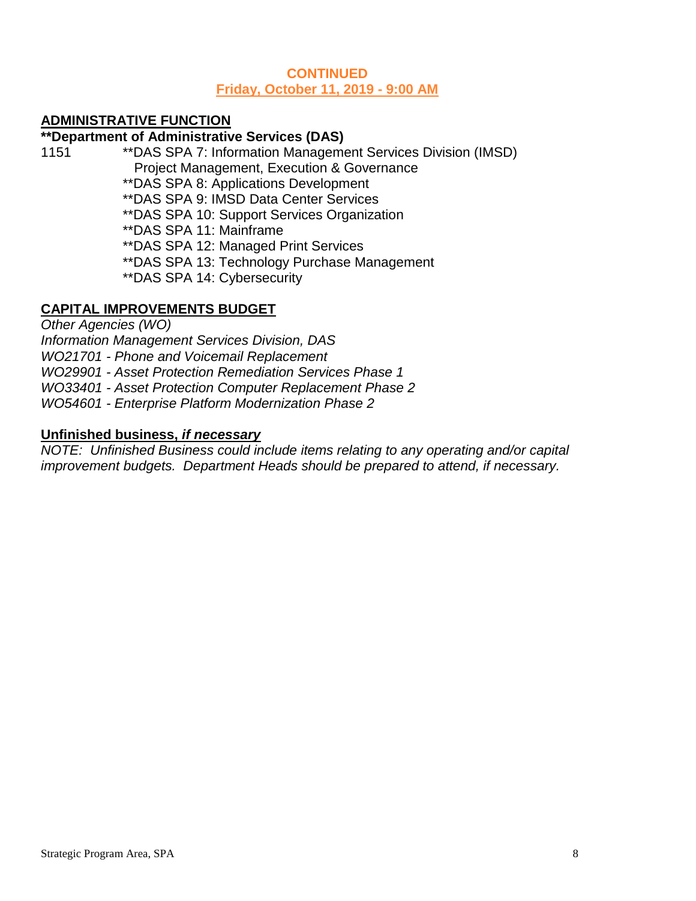### **CONTINUED Friday, October 11, 2019 - 9:00 AM**

# **ADMINISTRATIVE FUNCTION**

## **\*\*Department of Administrative Services (DAS)**

1151 \*\*DAS SPA 7: Information Management Services Division (IMSD) Project Management, Execution & Governance

\*\*DAS SPA 8: Applications Development

\*\*DAS SPA 9: IMSD Data Center Services

\*\*DAS SPA 10: Support Services Organization

\*\*DAS SPA 11: Mainframe

\*\*DAS SPA 12: Managed Print Services

\*\*DAS SPA 13: Technology Purchase Management

\*\*DAS SPA 14: Cybersecurity

# **CAPITAL IMPROVEMENTS BUDGET**

*Other Agencies (WO)*

*Information Management Services Division, DAS*

*WO21701 - Phone and Voicemail Replacement*

*WO29901 - Asset Protection Remediation Services Phase 1*

*WO33401 - Asset Protection Computer Replacement Phase 2*

*WO54601 - Enterprise Platform Modernization Phase 2*

# **Unfinished business,** *if necessary*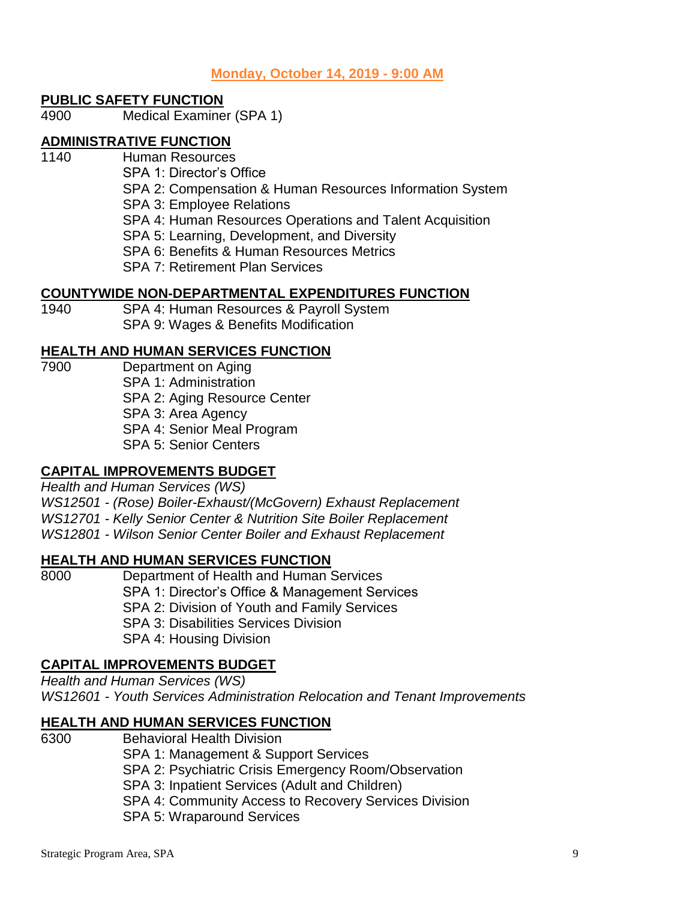**Monday, October 14, 2019 - 9:00 AM**

### **PUBLIC SAFETY FUNCTION**

4900 Medical Examiner (SPA 1)

# **ADMINISTRATIVE FUNCTION**

- 1140 Human Resources
	- SPA 1: Director's Office
		- SPA 2: Compensation & Human Resources Information System SPA 3: Employee Relations
		- SPA 4: Human Resources Operations and Talent Acquisition
	- SPA 5: Learning, Development, and Diversity
	- SPA 6: Benefits & Human Resources Metrics
	- SPA 7: Retirement Plan Services

## **COUNTYWIDE NON-DEPARTMENTAL EXPENDITURES FUNCTION**

1940 SPA 4: Human Resources & Payroll System SPA 9: Wages & Benefits Modification

## **HEALTH AND HUMAN SERVICES FUNCTION**

7900 Department on Aging SPA 1: Administration SPA 2: Aging Resource Center SPA 3: Area Agency SPA 4: Senior Meal Program SPA 5: Senior Centers

# **CAPITAL IMPROVEMENTS BUDGET**

*Health and Human Services (WS) WS12501 - (Rose) Boiler-Exhaust/(McGovern) Exhaust Replacement WS12701 - Kelly Senior Center & Nutrition Site Boiler Replacement WS12801 - Wilson Senior Center Boiler and Exhaust Replacement*

# **HEALTH AND HUMAN SERVICES FUNCTION**

8000 Department of Health and Human Services SPA 1: Director's Office & Management Services SPA 2: Division of Youth and Family Services SPA 3: Disabilities Services Division SPA 4: Housing Division

# **CAPITAL IMPROVEMENTS BUDGET**

*Health and Human Services (WS) WS12601 - Youth Services Administration Relocation and Tenant Improvements*

# **HEALTH AND HUMAN SERVICES FUNCTION**

6300 Behavioral Health Division SPA 1: Management & Support Services SPA 2: Psychiatric Crisis Emergency Room/Observation SPA 3: Inpatient Services (Adult and Children) SPA 4: Community Access to Recovery Services Division SPA 5: Wraparound Services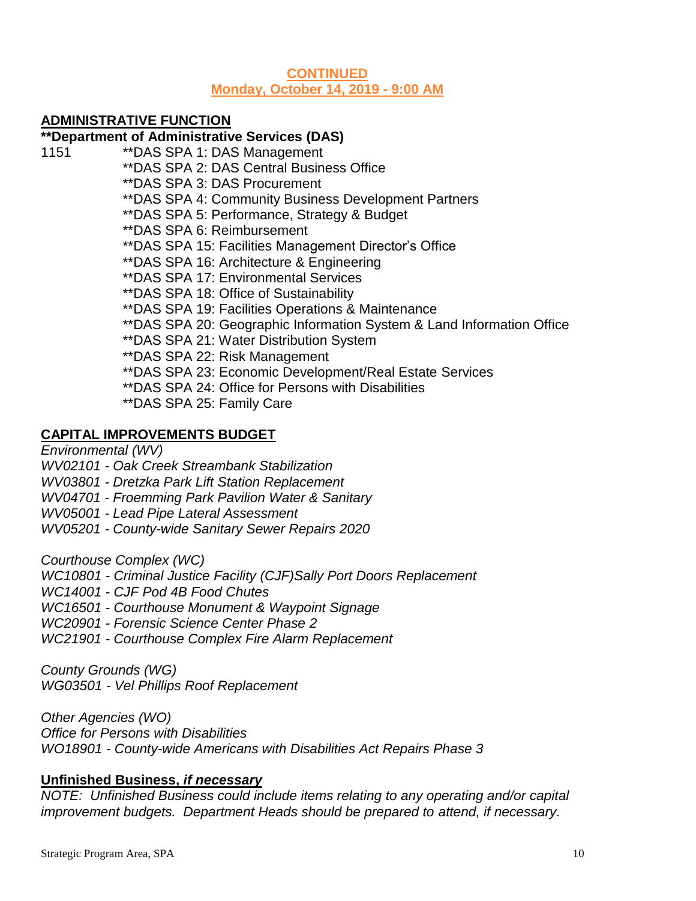## **CONTINUED Monday, October 14, 2019 - 9:00 AM**

# **ADMINISTRATIVE FUNCTION**

## **\*\*Department of Administrative Services (DAS)**

- 1151 \*\*DAS SPA 1: DAS Management
	- \*\*DAS SPA 2: DAS Central Business Office

\*\*DAS SPA 3: DAS Procurement

\*\*DAS SPA 4: Community Business Development Partners

\*\*DAS SPA 5: Performance, Strategy & Budget

- \*\*DAS SPA 6: Reimbursement
- \*\*DAS SPA 15: Facilities Management Director's Office
- \*\*DAS SPA 16: Architecture & Engineering
- \*\*DAS SPA 17: Environmental Services
- \*\*DAS SPA 18: Office of Sustainability
- \*\*DAS SPA 19: Facilities Operations & Maintenance
- \*\*DAS SPA 20: Geographic Information System & Land Information Office
- \*\*DAS SPA 21: Water Distribution System
- \*\*DAS SPA 22: Risk Management
- \*\*DAS SPA 23: Economic Development/Real Estate Services
- \*\*DAS SPA 24: Office for Persons with Disabilities
- \*\*DAS SPA 25: Family Care

# **CAPITAL IMPROVEMENTS BUDGET**

*Environmental (WV)*

*WV02101 - Oak Creek Streambank Stabilization*

*WV03801 - Dretzka Park Lift Station Replacement*

*WV04701 - Froemming Park Pavilion Water & Sanitary*

*WV05001 - Lead Pipe Lateral Assessment*

*WV05201 - County-wide Sanitary Sewer Repairs 2020*

*Courthouse Complex (WC)*

*WC10801 - Criminal Justice Facility (CJF)Sally Port Doors Replacement*

- *WC14001 - CJF Pod 4B Food Chutes*
- *WC16501 - Courthouse Monument & Waypoint Signage*

*WC20901 - Forensic Science Center Phase 2*

*WC21901 - Courthouse Complex Fire Alarm Replacement*

*County Grounds (WG) WG03501 - Vel Phillips Roof Replacement*

*Other Agencies (WO)*

*Office for Persons with Disabilities*

*WO18901 - County-wide Americans with Disabilities Act Repairs Phase 3*

# **Unfinished Business,** *if necessary*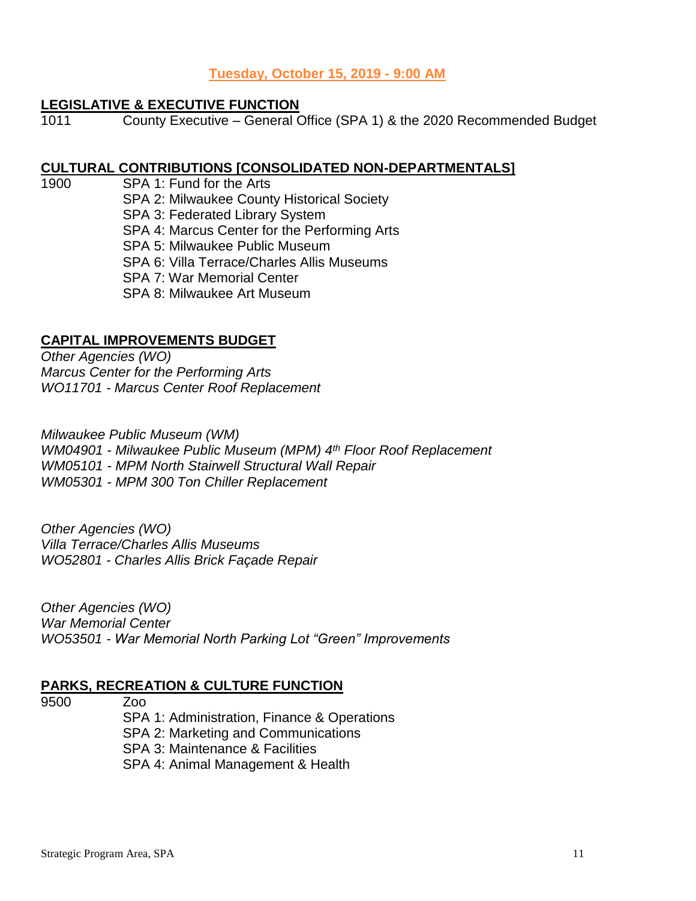## **Tuesday, October 15, 2019 - 9:00 AM**

#### **LEGISLATIVE & EXECUTIVE FUNCTION**

1011 County Executive – General Office (SPA 1) & the 2020 Recommended Budget

#### **CULTURAL CONTRIBUTIONS [CONSOLIDATED NON-DEPARTMENTALS]**

1900 SPA 1: Fund for the Arts SPA 2: Milwaukee County Historical Society SPA 3: Federated Library System SPA 4: Marcus Center for the Performing Arts SPA 5: Milwaukee Public Museum SPA 6: Villa Terrace/Charles Allis Museums SPA 7: War Memorial Center SPA 8: Milwaukee Art Museum

# **CAPITAL IMPROVEMENTS BUDGET**

*Other Agencies (WO) Marcus Center for the Performing Arts WO11701 - Marcus Center Roof Replacement*

*Milwaukee Public Museum (WM) WM04901 - Milwaukee Public Museum (MPM) 4th Floor Roof Replacement WM05101 - MPM North Stairwell Structural Wall Repair WM05301 - MPM 300 Ton Chiller Replacement*

*Other Agencies (WO) Villa Terrace/Charles Allis Museums WO52801 - Charles Allis Brick Façade Repair*

*Other Agencies (WO) War Memorial Center WO53501 - War Memorial North Parking Lot "Green" Improvements*

#### **PARKS, RECREATION & CULTURE FUNCTION**

9500 Zoo

SPA 1: Administration, Finance & Operations

SPA 2: Marketing and Communications

SPA 3: Maintenance & Facilities

SPA 4: Animal Management & Health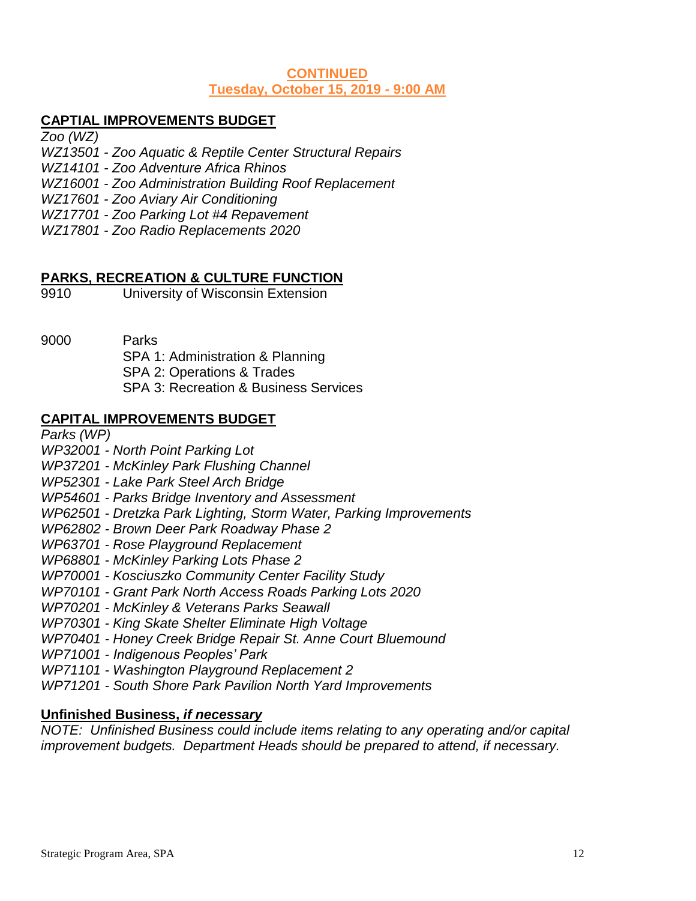## **CONTINUED Tuesday, October 15, 2019 - 9:00 AM**

# **CAPTIAL IMPROVEMENTS BUDGET**

*Zoo (WZ)*

- *WZ13501 - Zoo Aquatic & Reptile Center Structural Repairs*
- *WZ14101 - Zoo Adventure Africa Rhinos*
- *WZ16001 - Zoo Administration Building Roof Replacement*
- *WZ17601 - Zoo Aviary Air Conditioning*
- *WZ17701 - Zoo Parking Lot #4 Repavement*
- *WZ17801 - Zoo Radio Replacements 2020*

## **PARKS, RECREATION & CULTURE FUNCTION**

- 9910 University of Wisconsin Extension
- 9000 Parks

SPA 1: Administration & Planning SPA 2: Operations & Trades SPA 3: Recreation & Business Services

## **CAPITAL IMPROVEMENTS BUDGET**

*Parks (WP)*

#### *WP32001 - North Point Parking Lot*

- *WP37201 - McKinley Park Flushing Channel*
- *WP52301 - Lake Park Steel Arch Bridge*
- *WP54601 - Parks Bridge Inventory and Assessment*
- *WP62501 - Dretzka Park Lighting, Storm Water, Parking Improvements*
- *WP62802 - Brown Deer Park Roadway Phase 2*
- *WP63701 - Rose Playground Replacement*
- *WP68801 - McKinley Parking Lots Phase 2*
- *WP70001 - Kosciuszko Community Center Facility Study*
- *WP70101 - Grant Park North Access Roads Parking Lots 2020*
- *WP70201 - McKinley & Veterans Parks Seawall*
- *WP70301 - King Skate Shelter Eliminate High Voltage*
- *WP70401 - Honey Creek Bridge Repair St. Anne Court Bluemound*
- *WP71001 - Indigenous Peoples' Park*
- *WP71101 - Washington Playground Replacement 2*
- *WP71201 - South Shore Park Pavilion North Yard Improvements*

#### **Unfinished Business,** *if necessary*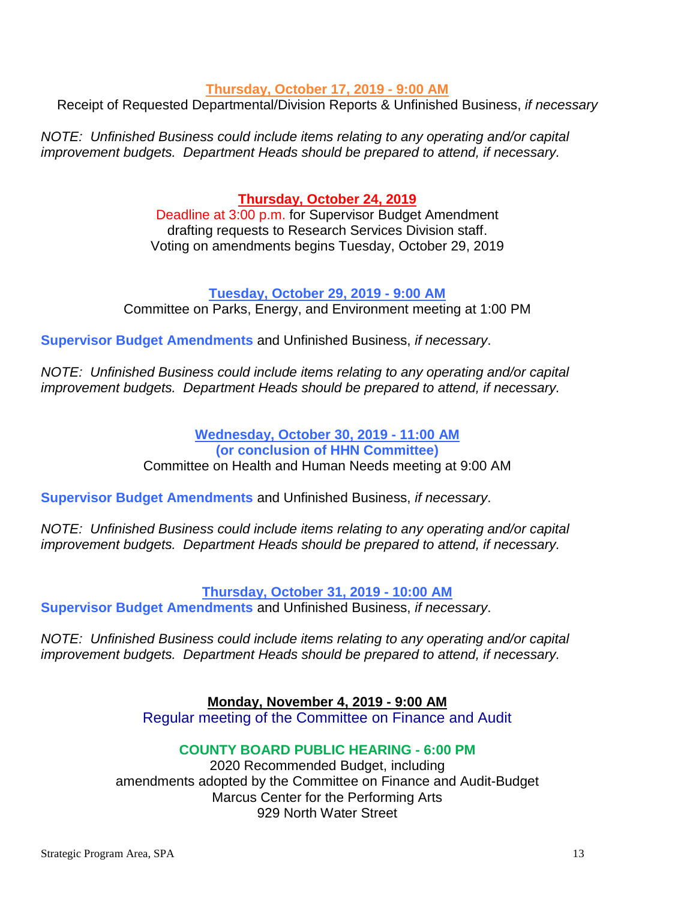#### **Thursday, October 17, 2019 - 9:00 AM**

Receipt of Requested Departmental/Division Reports & Unfinished Business, *if necessary*

*NOTE: Unfinished Business could include items relating to any operating and/or capital improvement budgets. Department Heads should be prepared to attend, if necessary.*

## **Thursday, October 24, 2019**

Deadline at 3:00 p.m. for Supervisor Budget Amendment drafting requests to Research Services Division staff. Voting on amendments begins Tuesday, October 29, 2019

## **Tuesday, October 29, 2019 - 9:00 AM**

Committee on Parks, Energy, and Environment meeting at 1:00 PM

**Supervisor Budget Amendments** and Unfinished Business, *if necessary*.

*NOTE: Unfinished Business could include items relating to any operating and/or capital improvement budgets. Department Heads should be prepared to attend, if necessary.*

## **Wednesday, October 30, 2019 - 11:00 AM (or conclusion of HHN Committee)** Committee on Health and Human Needs meeting at 9:00 AM

**Supervisor Budget Amendments** and Unfinished Business, *if necessary*.

*NOTE: Unfinished Business could include items relating to any operating and/or capital improvement budgets. Department Heads should be prepared to attend, if necessary.*

**Thursday, October 31, 2019 - 10:00 AM**

**Supervisor Budget Amendments** and Unfinished Business, *if necessary*.

*NOTE: Unfinished Business could include items relating to any operating and/or capital improvement budgets. Department Heads should be prepared to attend, if necessary.*

**Monday, November 4, 2019 - 9:00 AM**

Regular meeting of the Committee on Finance and Audit

### **COUNTY BOARD PUBLIC HEARING - 6:00 PM**

2020 Recommended Budget, including amendments adopted by the Committee on Finance and Audit-Budget Marcus Center for the Performing Arts 929 North Water Street